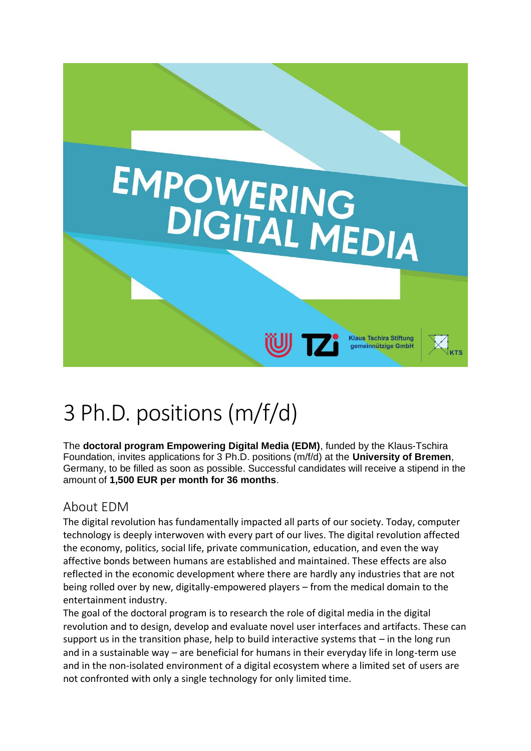

# 3 Ph.D. positions (m/f/d)

The **doctoral program Empowering Digital Media (EDM)**, funded by the Klaus-Tschira Foundation, invites applications for 3 Ph.D. positions (m/f/d) at the **University of Bremen**, Germany, to be filled as soon as possible. Successful candidates will receive a stipend in the amount of **1,500 EUR per month for 36 months**.

# About EDM

The digital revolution has fundamentally impacted all parts of our society. Today, computer technology is deeply interwoven with every part of our lives. The digital revolution affected the economy, politics, social life, private communication, education, and even the way affective bonds between humans are established and maintained. These effects are also reflected in the economic development where there are hardly any industries that are not being rolled over by new, digitally-empowered players – from the medical domain to the entertainment industry.

The goal of the doctoral program is to research the role of digital media in the digital revolution and to design, develop and evaluate novel user interfaces and artifacts. These can support us in the transition phase, help to build interactive systems that  $-$  in the long run and in a sustainable way – are beneficial for humans in their everyday life in long-term use and in the non-isolated environment of a digital ecosystem where a limited set of users are not confronted with only a single technology for only limited time.